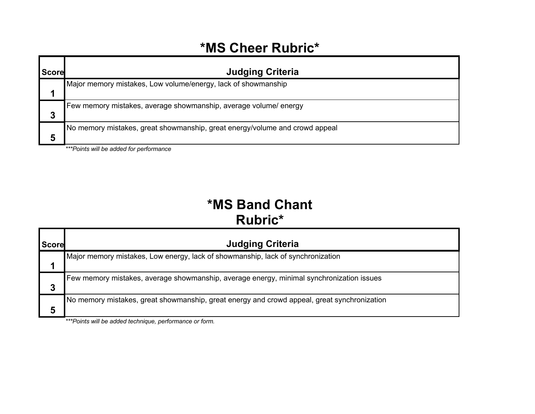#### **\*MS Cheer Rubric\***

| <b>Score</b> | <b>Judging Criteria</b>                                                     |
|--------------|-----------------------------------------------------------------------------|
|              | Major memory mistakes, Low volume/energy, lack of showmanship               |
| 3            | Few memory mistakes, average showmanship, average volume/ energy            |
| 5            | No memory mistakes, great showmanship, great energy/volume and crowd appeal |

*\*\*\*Points will be added for performance* 

## **\*MS Band Chant Rubric\***

| <b>Score</b> | <b>Judging Criteria</b>                                                                     |
|--------------|---------------------------------------------------------------------------------------------|
|              | Major memory mistakes, Low energy, lack of showmanship, lack of synchronization             |
| 3            | Few memory mistakes, average showmanship, average energy, minimal synchronization issues    |
| 5            | No memory mistakes, great showmanship, great energy and crowd appeal, great synchronization |

*\*\*\*Points will be added technique, performance or form.*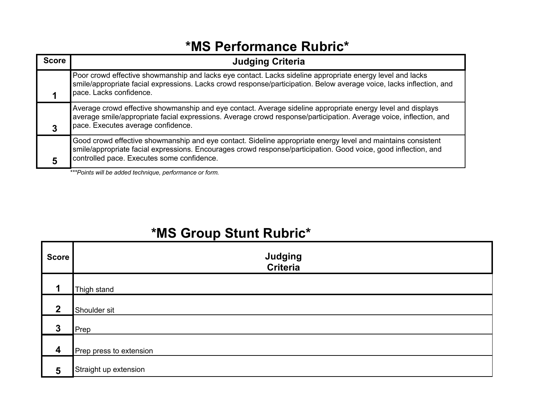#### **\*MS Performance Rubric\***

| <b>Score</b> | <b>Judging Criteria</b>                                                                                                                                                                                                                                                       |
|--------------|-------------------------------------------------------------------------------------------------------------------------------------------------------------------------------------------------------------------------------------------------------------------------------|
|              | Poor crowd effective showmanship and lacks eye contact. Lacks sideline appropriate energy level and lacks<br>smile/appropriate facial expressions. Lacks crowd response/participation. Below average voice, lacks inflection, and<br>pace. Lacks confidence.                  |
|              | Average crowd effective showmanship and eye contact. Average sideline appropriate energy level and displays<br>average smile/appropriate facial expressions. Average crowd response/participation. Average voice, inflection, and<br>pace. Executes average confidence.       |
|              | Good crowd effective showmanship and eye contact. Sideline appropriate energy level and maintains consistent<br>smile/appropriate facial expressions. Encourages crowd response/participation. Good voice, good inflection, and<br>controlled pace. Executes some confidence. |

*\*\*\*Points will be added technique, performance or form.*

## **\*MS Group Stunt Rubric\***

| <b>Score</b>            | Judging<br>Criteria     |
|-------------------------|-------------------------|
| 1                       | Thigh stand             |
| $\overline{2}$          | Shoulder sit            |
| $\boldsymbol{3}$        | Prep                    |
| $\boldsymbol{4}$        | Prep press to extension |
| $\overline{\mathbf{5}}$ | Straight up extension   |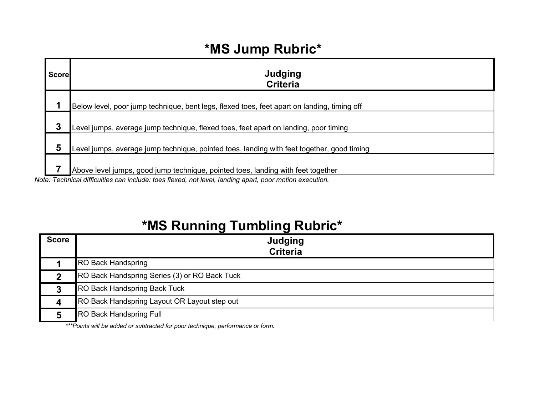## **\*MS Jump Rubric\***

| <b>Score</b> | Judging<br><b>Criteria</b>                                                                  |
|--------------|---------------------------------------------------------------------------------------------|
|              | Below level, poor jump technique, bent legs, flexed toes, feet apart on landing, timing off |
| 3            | Level jumps, average jump technique, flexed toes, feet apart on landing, poor timing        |
| 5            | Level jumps, average jump technique, pointed toes, landing with feet together, good timing  |
|              | Above level jumps, good jump technique, pointed toes, landing with feet together            |

*Note: Technical difficulties can include: toes flexed, not level, landing apart, poor motion execution.*

## **\*MS Running Tumbling Rubric\***

| <b>Score</b> | Judging<br><b>Criteria</b>                    |
|--------------|-----------------------------------------------|
|              | <b>RO Back Handspring</b>                     |
|              | RO Back Handspring Series (3) or RO Back Tuck |
|              | <b>RO Back Handspring Back Tuck</b>           |
|              | RO Back Handspring Layout OR Layout step out  |
|              | <b>RO Back Handspring Full</b>                |

*\*\*\*Points will be added or subtracted for poor technique, performance or form.*